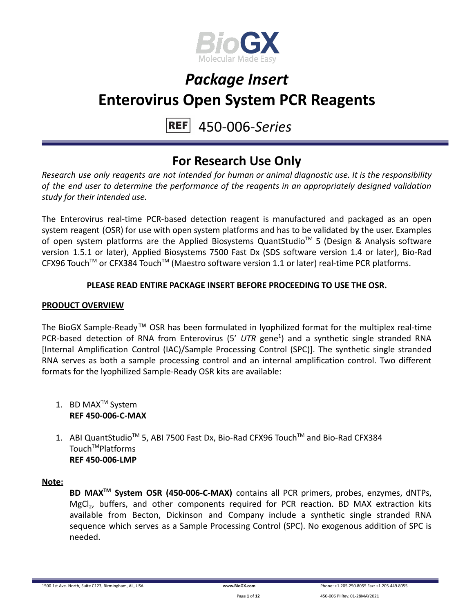

#### 450-006-*Series* **REFI**

## **For Research Use Only**

*Research use only reagents are not intended for human or animal diagnostic use. It is the responsibility of the end user to determine the performance of the reagents in an appropriately designed validation study for their intended use.*

The Enterovirus real-time PCR-based detection reagent is manufactured and packaged as an open system reagent (OSR) for use with open system platforms and has to be validated by the user. Examples of open system platforms are the Applied Biosystems QuantStudio<sup>™</sup> 5 (Design & Analysis software version 1.5.1 or later), Applied Biosystems 7500 Fast Dx (SDS software version 1.4 or later), Bio-Rad CFX96 Touch<sup>™</sup> or CFX384 Touch<sup>™</sup> (Maestro software version 1.1 or later) real-time PCR platforms.

### **PLEASE READ ENTIRE PACKAGE INSERT BEFORE PROCEEDING TO USE THE OSR.**

#### **PRODUCT OVERVIEW**

The BioGX Sample-Ready™ OSR has been formulated in lyophilized format for the multiplex real-time PCR-based detection of RNA from Enterovirus (5' UTR gene<sup>1</sup>) and a synthetic single stranded RNA [Internal Amplification Control (IAC)/Sample Processing Control (SPC)]. The synthetic single stranded RNA serves as both a sample processing control and an internal amplification control. Two different formats for the lyophilized Sample-Ready OSR kits are available:

- 1. BD MAX<sup>™</sup> System **REF 450-006-C-MAX**
- 1. ABI QuantStudio<sup>™</sup> 5, ABI 7500 Fast Dx, Bio-Rad CFX96 Touch™ and Bio-Rad CFX384 Touch<sup>™</sup>Platforms **REF 450-006-LMP**

#### **Note:**

**BD MAXTM System OSR (450-006-C-MAX)** contains all PCR primers, probes, enzymes, dNTPs, MgCl<sub>2</sub>, buffers, and other components required for PCR reaction. BD MAX extraction kits available from Becton, Dickinson and Company include a synthetic single stranded RNA sequence which serves as a Sample Processing Control (SPC). No exogenous addition of SPC is needed.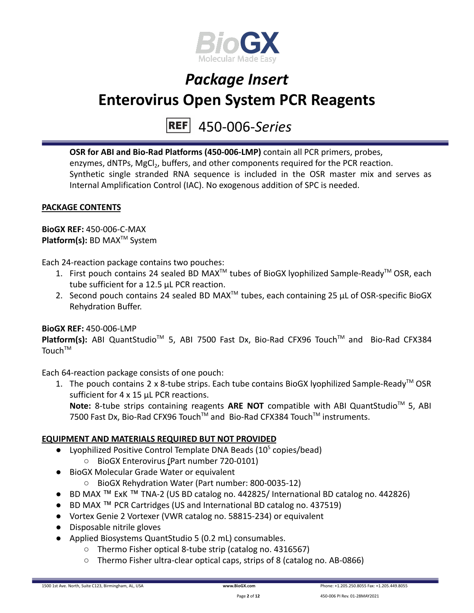

450-006-*Series*

**OSR for ABI and Bio-Rad Platforms (450-006-LMP)** contain all PCR primers, probes, enzymes, dNTPs, MgCl<sub>2</sub>, buffers, and other components required for the PCR reaction. Synthetic single stranded RNA sequence is included in the OSR master mix and serves as Internal Amplification Control (IAC). No exogenous addition of SPC is needed.

### **PACKAGE CONTENTS**

**BioGX REF:** 450-006-C-MAX **Platform(s):** BD MAX<sup>™</sup> System

Each 24-reaction package contains two pouches:

- 1. First pouch contains 24 sealed BD MAX<sup>™</sup> tubes of BioGX lyophilized Sample-Ready<sup>™</sup> OSR, each tube sufficient for a 12.5 µL PCR reaction.
- 2. Second pouch contains 24 sealed BD MAX<sup>™</sup> tubes, each containing 25  $\mu$ L of OSR-specific BioGX Rehydration Buffer.

#### **BioGX REF:** 450-006-LMP

Platform(s): ABI QuantStudio<sup>™</sup> 5, ABI 7500 Fast Dx, Bio-Rad CFX96 Touch<sup>™</sup> and Bio-Rad CFX384  $T$ ouch $T$ <sup>M</sup>

Each 64-reaction package consists of one pouch:

1. The pouch contains 2 x 8-tube strips. Each tube contains BioGX lyophilized Sample-Ready<sup>™</sup> OSR sufficient for 4 x 15 µL PCR reactions.

Note: 8-tube strips containing reagents ARE NOT compatible with ABI QuantStudio<sup>™</sup> 5, ABI 7500 Fast Dx, Bio-Rad CFX96 Touch™ and Bio-Rad CFX384 Touch™ instruments.

#### **EQUIPMENT AND MATERIALS REQUIRED BUT NOT PROVIDED**

- Lyophilized Positive Control Template DNA Beads  $(10^5 \text{ copies/head})$ 
	- BioGX Enterovirus (Part number 720-0101)
- BioGX Molecular Grade Water or equivalent
	- BioGX Rehydration Water (Part number: 800-0035-12)
- BD MAX ™ ExK ™ TNA-2 (US BD catalog no. 442825/ International BD catalog no. 442826)
- BD MAX ™ PCR Cartridges (US and International BD catalog no. 437519)
- Vortex Genie 2 Vortexer (VWR catalog no. 58815-234) or equivalent
- Disposable nitrile gloves
- Applied Biosystems QuantStudio 5 (0.2 mL) consumables.
	- Thermo Fisher optical 8-tube strip (catalog no. 4316567)
	- Thermo Fisher ultra-clear optical caps, strips of 8 (catalog no. AB-0866)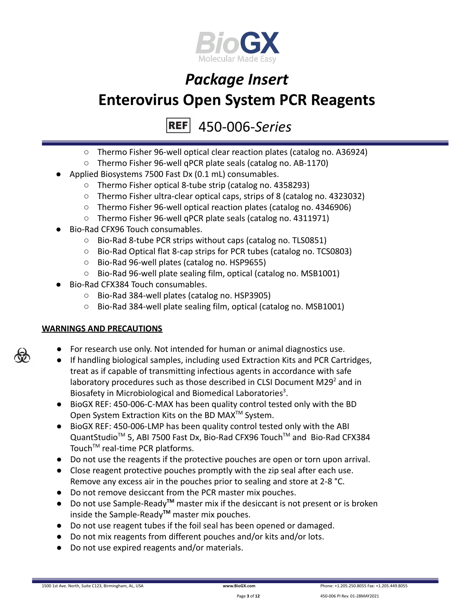

450-006-*Series*

- Thermo Fisher 96-well optical clear reaction plates (catalog no. A36924)
- Thermo Fisher 96-well qPCR plate seals (catalog no. AB-1170)
- Applied Biosystems 7500 Fast Dx (0.1 mL) consumables.
	- Thermo Fisher optical 8-tube strip (catalog no. 4358293)
	- Thermo Fisher ultra-clear optical caps, strips of 8 (catalog no. 4323032)
	- Thermo Fisher 96-well optical reaction plates (catalog no. 4346906)
	- Thermo Fisher 96-well qPCR plate seals (catalog no. 4311971)
- Bio-Rad CFX96 Touch consumables.
	- Bio-Rad 8-tube PCR strips without caps (catalog no. TLS0851)
	- Bio-Rad Optical flat 8-cap strips for PCR tubes (catalog no. TCS0803)
	- Bio-Rad 96-well plates (catalog no. HSP9655)
	- Bio-Rad 96-well plate sealing film, optical (catalog no. MSB1001)
- Bio-Rad CFX384 Touch consumables.
	- Bio-Rad 384-well plates (catalog no. HSP3905)
	- Bio-Rad 384-well plate sealing film, optical (catalog no. MSB1001)

### **WARNINGS AND PRECAUTIONS**

- For research use only. Not intended for human or animal diagnostics use.
- If handling biological samples, including used Extraction Kits and PCR Cartridges, treat as if capable of transmitting infectious agents in accordance with safe laboratory procedures such as those described in CLSI Document M29 $2$  and in Biosafety in Microbiological and Biomedical Laboratories<sup>3</sup>.
- BioGX REF: 450-006-C-MAX has been quality control tested only with the BD Open System Extraction Kits on the BD MAX<sup>™</sup> System.
- BioGX REF: 450-006-LMP has been quality control tested only with the ABI QuantStudio<sup>™</sup> 5, ABI 7500 Fast Dx, Bio-Rad CFX96 Touch™ and Bio-Rad CFX384 Touch<sup>™</sup> real-time PCR platforms.
- Do not use the reagents if the protective pouches are open or torn upon arrival.
- Close reagent protective pouches promptly with the zip seal after each use. Remove any excess air in the pouches prior to sealing and store at 2-8 °C.
- Do not remove desiccant from the PCR master mix pouches.
- Do not use Sample-Ready**TM** master mix if the desiccant is not present or is broken inside the Sample-Ready**TM** master mix pouches.
- Do not use reagent tubes if the foil seal has been opened or damaged.
- Do not mix reagents from different pouches and/or kits and/or lots.
- Do not use expired reagents and/or materials.



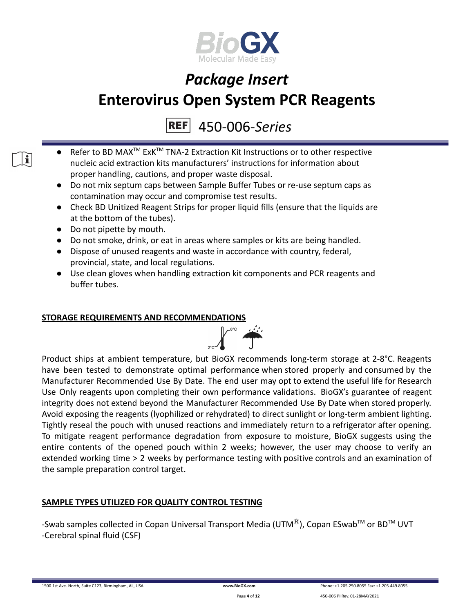

## 450-006-*Series*

- Refer to BD MAX<sup>™</sup> ExK<sup>™</sup> TNA-2 Extraction Kit Instructions or to other respective nucleic acid extraction kits manufacturers' instructions for information about proper handling, cautions, and proper waste disposal.
	- Do not mix septum caps between Sample Buffer Tubes or re-use septum caps as contamination may occur and compromise test results.
	- Check BD Unitized Reagent Strips for proper liquid fills (ensure that the liquids are at the bottom of the tubes).
	- Do not pipette by mouth.

 $\mathbf{i}$ 

- Do not smoke, drink, or eat in areas where samples or kits are being handled.
- Dispose of unused reagents and waste in accordance with country, federal, provincial, state, and local regulations.
- Use clean gloves when handling extraction kit components and PCR reagents and buffer tubes.

### **STORAGE REQUIREMENTS AND RECOMMENDATIONS**



Product ships at ambient temperature, but BioGX recommends long-term storage at 2-8°C. Reagents have been tested to demonstrate optimal performance when stored properly and consumed by the Manufacturer Recommended Use By Date. The end user may opt to extend the useful life for Research Use Only reagents upon completing their own performance validations. BioGX's guarantee of reagent integrity does not extend beyond the Manufacturer Recommended Use By Date when stored properly. Avoid exposing the reagents (lyophilized or rehydrated) to direct sunlight or long-term ambient lighting. Tightly reseal the pouch with unused reactions and immediately return to a refrigerator after opening. To mitigate reagent performance degradation from exposure to moisture, BioGX suggests using the entire contents of the opened pouch within 2 weeks; however, the user may choose to verify an extended working time > 2 weeks by performance testing with positive controls and an examination of the sample preparation control target.

## **SAMPLE TYPES UTILIZED FOR QUALITY CONTROL TESTING**

-Swab samples collected in Copan Universal Transport Media (UTM<sup>®</sup>), Copan ESwab<sup>TM</sup> or BD<sup>TM</sup> UVT -Cerebral spinal fluid (CSF)

1500 1st Ave. North, Suite C123, Birmingham, AL, USA **[www.BioGX.com](http://www.biogx.com/eu)** Phone: +1.205.250.8055 Fax: +1.205.449.8055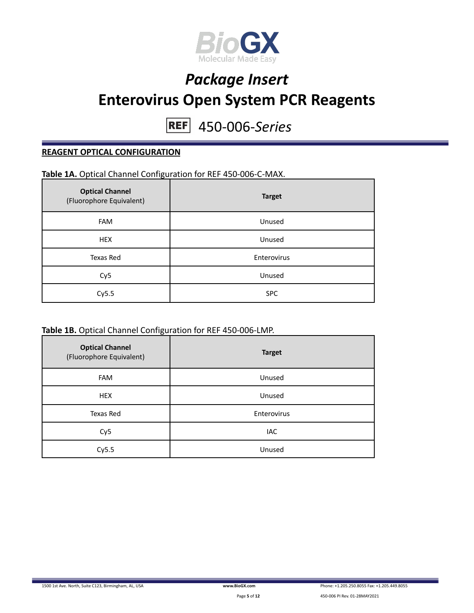

450-006-*Series*

#### **REAGENT OPTICAL CONFIGURATION**

## **Table 1A.** Optical Channel Configuration for REF 450-006-C-MAX.

| <b>Optical Channel</b><br>(Fluorophore Equivalent) | <b>Target</b> |
|----------------------------------------------------|---------------|
| <b>FAM</b>                                         | Unused        |
| <b>HEX</b>                                         | Unused        |
| Texas Red                                          | Enterovirus   |
| Cy <sub>5</sub>                                    | Unused        |
| Cy5.5                                              | <b>SPC</b>    |

#### **Table 1B.** Optical Channel Configuration for REF 450-006-LMP.

| <b>Optical Channel</b><br>(Fluorophore Equivalent) | <b>Target</b> |
|----------------------------------------------------|---------------|
| <b>FAM</b>                                         | Unused        |
| <b>HEX</b>                                         | Unused        |
| Texas Red                                          | Enterovirus   |
| Cy <sub>5</sub>                                    | <b>IAC</b>    |
| Cy5.5                                              | Unused        |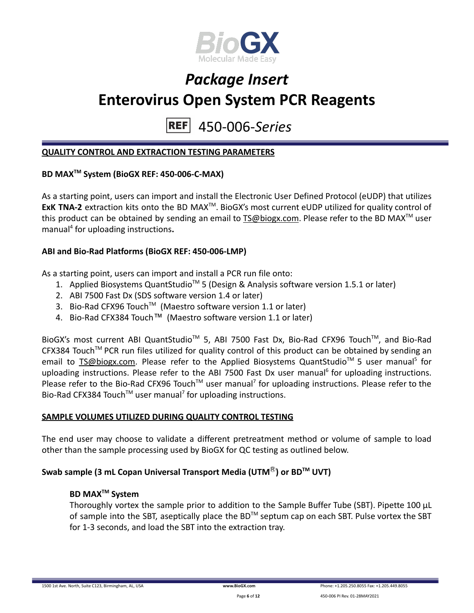

450-006-*Series* **REF** 

#### **QUALITY CONTROL AND EXTRACTION TESTING PARAMETERS**

### **BD MAXTM System (BioGX REF: 450-006-C-MAX)**

As a starting point, users can import and install the Electronic User Defined Protocol (eUDP) that utilizes **ExK TNA-2** extraction kits onto the BD MAX<sup>™</sup>. BioGX's most current eUDP utilized for quality control of this product can be obtained by sending an email to [TS@biogx.com](mailto:TS@biogx.com). Please refer to the BD MAX<sup>TM</sup> user manual<sup>4</sup> for uploading instructions**.**

#### **ABI and Bio-Rad Platforms (BioGX REF: 450-006-LMP)**

As a starting point, users can import and install a PCR run file onto:

- 1. Applied Biosystems QuantStudio<sup>™</sup> 5 (Design & Analysis software version 1.5.1 or later)
- 2. ABI 7500 Fast Dx (SDS software version 1.4 or later)
- 3. Bio-Rad CFX96 Touch<sup>™</sup> (Maestro software version 1.1 or later)
- 4. Bio-Rad CFX384 Touch™ (Maestro software version 1.1 or later)

BioGX's most current ABI QuantStudio<sup>™</sup> 5, ABI 7500 Fast Dx, Bio-Rad CFX96 Touch™, and Bio-Rad CFX384 Touch™ PCR run files utilized for quality control of this product can be obtained by sending an email to **[TS@biogx.com.](mailto:TS@biogx.com)** Please refer to the Applied Biosystems QuantStudio<sup>™</sup> 5 user manual<sup>5</sup> for uploading instructions. Please refer to the ABI 7500 Fast Dx user manual<sup>6</sup> for uploading instructions. Please refer to the Bio-Rad CFX96 Touch<sup>™</sup> user manual<sup>7</sup> for uploading instructions. Please refer to the Bio-Rad CFX384 Touch<sup>™</sup> user manual<sup>7</sup> for uploading instructions.

#### **SAMPLE VOLUMES UTILIZED DURING QUALITY CONTROL TESTING**

The end user may choose to validate a different pretreatment method or volume of sample to load other than the sample processing used by BioGX for QC testing as outlined below.

#### **Swab sample (3 mL Copan Universal Transport Media (UTM**Ⓡ**) or BDTM UVT)**

#### **BD MAXTM System**

Thoroughly vortex the sample prior to addition to the Sample Buffer Tube (SBT). Pipette 100 μL of sample into the SBT, aseptically place the BD<sup>TM</sup> septum cap on each SBT. Pulse vortex the SBT for 1-3 seconds, and load the SBT into the extraction tray.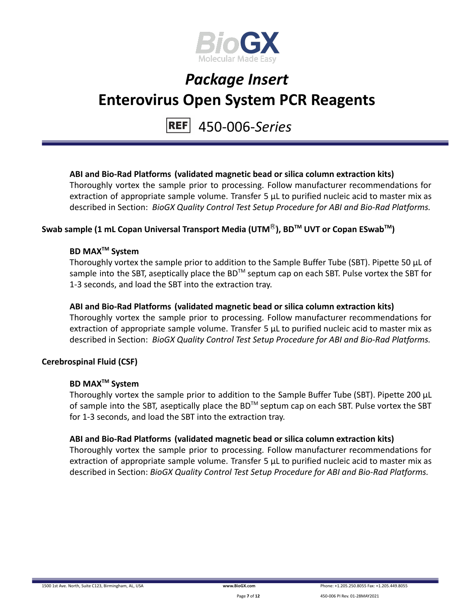

#### 450-006-*Series* **REF**

### **ABI and Bio-Rad Platforms (validated magnetic bead or silica column extraction kits)**

Thoroughly vortex the sample prior to processing. Follow manufacturer recommendations for extraction of appropriate sample volume. Transfer 5 μL to purified nucleic acid to master mix as described in Section: *BioGX Quality Control Test Setup Procedure for ABI and Bio-Rad Platforms.*

## **Swab sample (1 mL Copan Universal Transport Media (UTM**Ⓡ**), BDTM UVT or Copan ESwabTM )**

### **BD MAXTM System**

Thoroughly vortex the sample prior to addition to the Sample Buffer Tube (SBT). Pipette 50 μL of sample into the SBT, aseptically place the BD<sup>™</sup> septum cap on each SBT. Pulse vortex the SBT for 1-3 seconds, and load the SBT into the extraction tray.

### **ABI and Bio-Rad Platforms (validated magnetic bead or silica column extraction kits)**

Thoroughly vortex the sample prior to processing. Follow manufacturer recommendations for extraction of appropriate sample volume. Transfer 5 μL to purified nucleic acid to master mix as described in Section: *BioGX Quality Control Test Setup Procedure for ABI and Bio-Rad Platforms.*

### **Cerebrospinal Fluid (CSF)**

## **BD MAXTM System**

Thoroughly vortex the sample prior to addition to the Sample Buffer Tube (SBT). Pipette 200 μL of sample into the SBT, aseptically place the BD<sup>TM</sup> septum cap on each SBT. Pulse vortex the SBT for 1-3 seconds, and load the SBT into the extraction tray.

### **ABI and Bio-Rad Platforms (validated magnetic bead or silica column extraction kits)**

Thoroughly vortex the sample prior to processing. Follow manufacturer recommendations for extraction of appropriate sample volume. Transfer 5 μL to purified nucleic acid to master mix as described in Section: *BioGX Quality Control Test Setup Procedure for ABI and Bio-Rad Platforms.*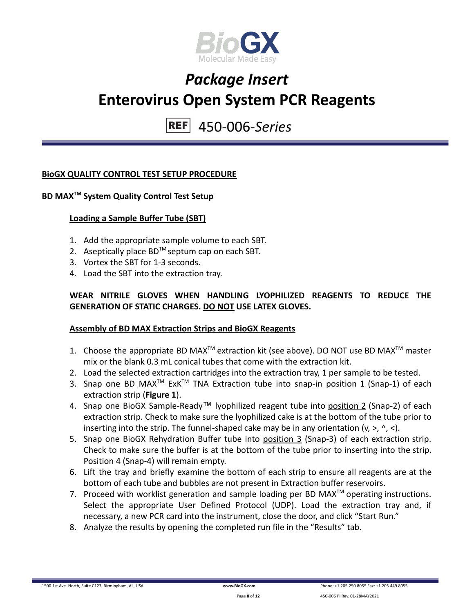

450-006-*Series* **REF** 

#### **BioGX QUALITY CONTROL TEST SETUP PROCEDURE**

## **BD MAXTM System Quality Control Test Setup**

#### **Loading a Sample Buffer Tube (SBT)**

- 1. Add the appropriate sample volume to each SBT.
- 2. Aseptically place  $BD^{TM}$  septum cap on each SBT.
- 3. Vortex the SBT for 1-3 seconds.
- 4. Load the SBT into the extraction tray.

### **WEAR NITRILE GLOVES WHEN HANDLING LYOPHILIZED REAGENTS TO REDUCE THE GENERATION OF STATIC CHARGES. DO NOT USE LATEX GLOVES.**

#### **Assembly of BD MAX Extraction Strips and BioGX Reagents**

- 1. Choose the appropriate BD MAX<sup>TM</sup> extraction kit (see above). DO NOT use BD MAX<sup>TM</sup> master mix or the blank 0.3 mL conical tubes that come with the extraction kit.
- 2. Load the selected extraction cartridges into the extraction tray, 1 per sample to be tested.
- 3. Snap one BD MAX<sup>™</sup> ExK<sup>™</sup> TNA Extraction tube into snap-in position 1 (Snap-1) of each extraction strip (**Figure 1**).
- 4. Snap one BioGX Sample-Ready™ lyophilized reagent tube into position 2 (Snap-2) of each extraction strip. Check to make sure the lyophilized cake is at the bottom of the tube prior to inserting into the strip. The funnel-shaped cake may be in any orientation  $(v, >, \land, <)$ .
- 5. Snap one BioGX Rehydration Buffer tube into position 3 (Snap-3) of each extraction strip. Check to make sure the buffer is at the bottom of the tube prior to inserting into the strip. Position 4 (Snap-4) will remain empty.
- 6. Lift the tray and briefly examine the bottom of each strip to ensure all reagents are at the bottom of each tube and bubbles are not present in Extraction buffer reservoirs.
- 7. Proceed with worklist generation and sample loading per BD MAX $^{TM}$  operating instructions. Select the appropriate User Defined Protocol (UDP). Load the extraction tray and, if necessary, a new PCR card into the instrument, close the door, and click "Start Run."
- 8. Analyze the results by opening the completed run file in the "Results" tab.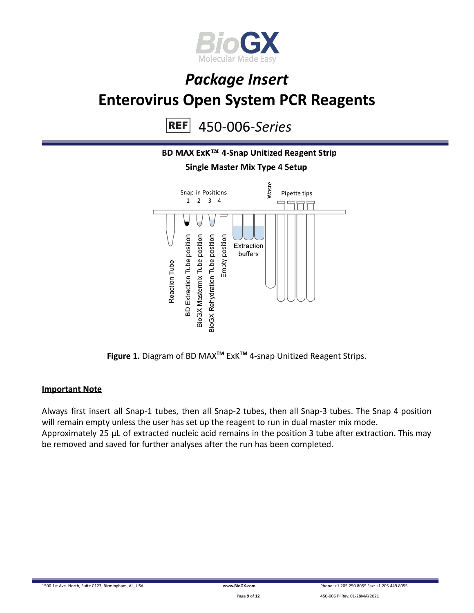

450-006-*Series* **REF** 



**Figure 1.** Diagram of BD MAX**TM** ExK**TM** 4-snap Unitized Reagent Strips.

#### **Important Note**

Always first insert all Snap-1 tubes, then all Snap-2 tubes, then all Snap-3 tubes. The Snap 4 position will remain empty unless the user has set up the reagent to run in dual master mix mode. Approximately 25 µL of extracted nucleic acid remains in the position 3 tube after extraction. This may be removed and saved for further analyses after the run has been completed.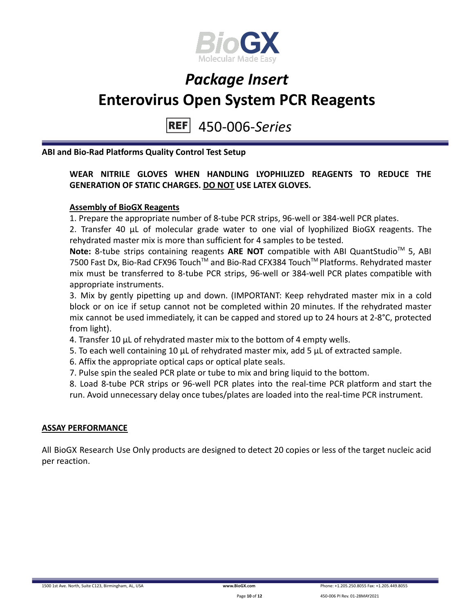

#### 450-006-*Series* **REF**

**ABI and Bio-Rad Platforms Quality Control Test Setup**

### **WEAR NITRILE GLOVES WHEN HANDLING LYOPHILIZED REAGENTS TO REDUCE THE GENERATION OF STATIC CHARGES. DO NOT USE LATEX GLOVES.**

#### **Assembly of BioGX Reagents**

1. Prepare the appropriate number of 8-tube PCR strips, 96-well or 384-well PCR plates.

2. Transfer 40 μL of molecular grade water to one vial of lyophilized BioGX reagents. The rehydrated master mix is more than sufficient for 4 samples to be tested.

Note: 8-tube strips containing reagents ARE NOT compatible with ABI QuantStudio<sup>™</sup> 5, ABI 7500 Fast Dx, Bio-Rad CFX96 Touch™ and Bio-Rad CFX384 Touch™ Platforms. Rehydrated master mix must be transferred to 8-tube PCR strips, 96-well or 384-well PCR plates compatible with appropriate instruments.

3. Mix by gently pipetting up and down. (IMPORTANT: Keep rehydrated master mix in a cold block or on ice if setup cannot not be completed within 20 minutes. If the rehydrated master mix cannot be used immediately, it can be capped and stored up to 24 hours at 2-8°C, protected from light).

4. Transfer 10 μL of rehydrated master mix to the bottom of 4 empty wells.

5. To each well containing 10 μL of rehydrated master mix, add 5 μL of extracted sample.

6. Affix the appropriate optical caps or optical plate seals.

7. Pulse spin the sealed PCR plate or tube to mix and bring liquid to the bottom.

8. Load 8-tube PCR strips or 96-well PCR plates into the real-time PCR platform and start the run. Avoid unnecessary delay once tubes/plates are loaded into the real-time PCR instrument.

#### **ASSAY PERFORMANCE**

All BioGX Research Use Only products are designed to detect 20 copies or less of the target nucleic acid per reaction.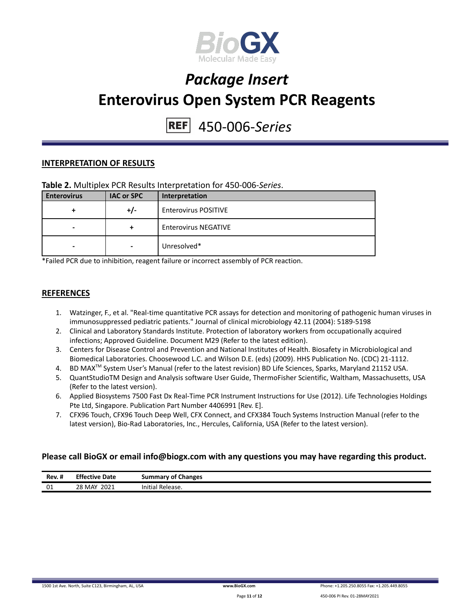

## 450-006-*Series*

#### **INTERPRETATION OF RESULTS**

| <b>Enterovirus</b> | <b>IAC or SPC</b> | Interpretation              |
|--------------------|-------------------|-----------------------------|
|                    | +/-               | <b>Enterovirus POSITIVE</b> |
|                    | +                 | <b>Enterovirus NEGATIVE</b> |
| -                  | $\,$              | Unresolved*                 |

\*Failed PCR due to inhibition, reagent failure or incorrect assembly of PCR reaction.

#### **REFERENCES**

- 1. Watzinger, F., et al. "Real-time quantitative PCR assays for detection and monitoring of pathogenic human viruses in immunosuppressed pediatric patients." Journal of clinical microbiology 42.11 (2004): 5189-5198
- 2. Clinical and Laboratory Standards Institute. Protection of laboratory workers from occupationally acquired infections; Approved Guideline. Document M29 (Refer to the latest edition).
- 3. Centers for Disease Control and Prevention and National Institutes of Health. Biosafety in Microbiological and Biomedical Laboratories. Choosewood L.C. and Wilson D.E. (eds) (2009). HHS Publication No. (CDC) 21-1112.
- 4. BD MAX<sup>™</sup> System User's Manual (refer to the latest revision) BD Life Sciences, Sparks, Maryland 21152 USA.
- 5. QuantStudioTM Design and Analysis software User Guide, ThermoFisher Scientific, Waltham, Massachusetts, USA (Refer to the latest version).
- 6. Applied Biosystems 7500 Fast Dx Real-Time PCR Instrument Instructions for Use (2012). Life Technologies Holdings Pte Ltd, Singapore. Publication Part Number 4406991 [Rev. E].
- 7. CFX96 Touch, CFX96 Touch Deep Well, CFX Connect, and CFX384 Touch Systems Instruction Manual (refer to the latest version), Bio-Rad Laboratories, Inc., Hercules, California, USA (Refer to the latest version).

#### **Please call BioGX or email info@biogx.com with any questions you may have regarding this product.**

| Rev. # | <b>Effective Date</b> | <b>Summary of Changes</b> |
|--------|-----------------------|---------------------------|
| 01     | 2021<br>28 MAY        | Initial<br>Release.       |